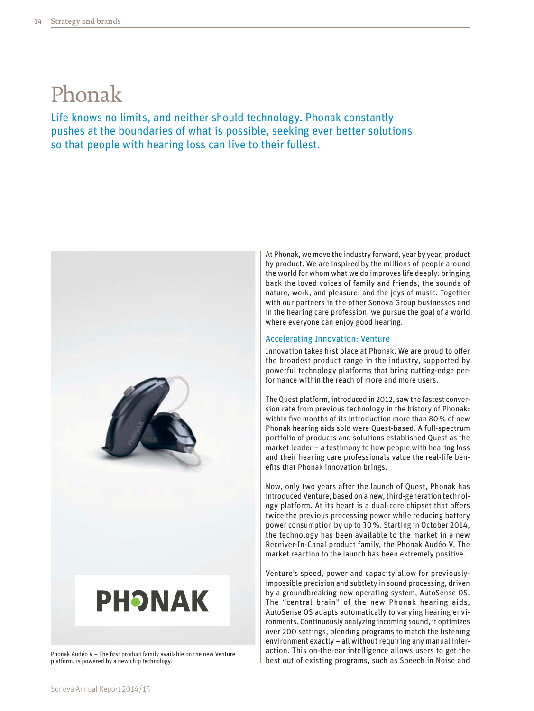# Phonak

Life knows no limits, and neither should technology. Phonak constantly pushes at the boundaries of what is possible, seeking ever better solutions so that people with hearing loss can live to their fullest.



At Phonak, we move the industry forward, year by year, product by product. We are inspired by the millions of people around the world for whom what we do improves life deeply: bringing back the loved voices of family and friends; the sounds of nature, work, and pleasure; and the joys of music. Together with our partners in the other Sonova Group businesses and in the hearing care profession, we pursue the goal of a world where everyone can enjoy good hearing.

### Accelerating Innovation: Venture

Innovation takes first place at Phonak. We are proud to offer the broadest product range in the industry, supported by powerful technology platforms that bring cutting-edge performance within the reach of more and more users.

The Quest platform, introduced in 2012, saw the fastest conversion rate from previous technology in the history of Phonak: within five months of its introduction more than 80% of new Phonak hearing aids sold were Quest-based. A full-spectrum portfolio of products and solutions established Quest as the market leader – a testimony to how people with hearing loss and their hearing care professionals value the real-life benefits that Phonak innovation brings.

Now, only two years after the launch of Quest, Phonak has introduced Venture, based on a new, third-generation technology platform. At its heart is a dual-core chipset that offers twice the previous processing power while reducing battery power consumption by up to 30%. Starting in October 2014, the technology has been available to the market in a new Receiver-In-Canal product family, the Phonak Audéo V. The market reaction to the launch has been extremely positive.

Venture's speed, power and capacity allow for previouslyimpossible precision and subtlety in sound processing, driven by a groundbreaking new operating system, AutoSense OS. The "central brain" of the new Phonak hearing aids, AutoSense OS adapts automatically to varying hearing environments. Continuously analyzing incoming sound, it optimizes over 200 settings, blending programs to match the listening environment exactly – all without requiring any manual interaction. This on-the-ear intelligence allows users to get the best out of existing programs, such as Speech in Noise and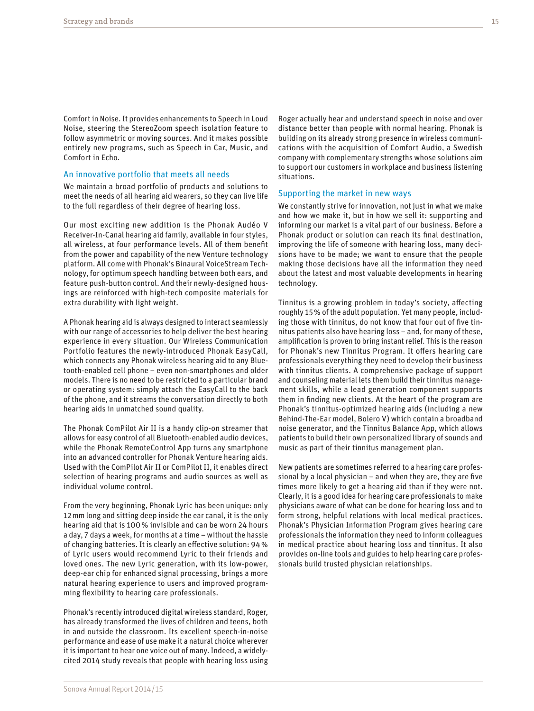Comfort in Noise. It provides enhancements to Speech in Loud Noise, steering the StereoZoom speech isolation feature to follow asymmetric or moving sources. And it makes possible entirely new programs, such as Speech in Car, Music, and Comfort in Echo.

#### An innovative portfolio that meets all needs

We maintain a broad portfolio of products and solutions to meet the needs of all hearing aid wearers, so they can live life to the full regardless of their degree of hearing loss.

Our most exciting new addition is the Phonak Audéo V Receiver-In-Canal hearing aid family, available in four styles, all wireless, at four performance levels. All of them benefit from the power and capability of the new Venture technology platform. All come with Phonak's Binaural VoiceStream Technology, for optimum speech handling between both ears, and feature push-button control. And their newly-designed housings are reinforced with high-tech composite materials for extra durability with light weight.

A Phonak hearing aid is always designed to interact seamlessly with our range of accessories to help deliver the best hearing experience in every situation. Our Wireless Communication Portfolio features the newly-introduced Phonak EasyCall, which connects any Phonak wireless hearing aid to any Bluetooth-enabled cell phone – even non-smartphones and older models. There is no need to be restricted to a particular brand or operating system: simply attach the EasyCall to the back of the phone, and it streams the conversation directly to both hearing aids in unmatched sound quality.

The Phonak ComPilot Air II is a handy clip-on streamer that allows for easy control of all Bluetooth-enabled audio devices, while the Phonak RemoteControl App turns any smartphone into an advanced controller for Phonak Venture hearing aids. Used with the ComPilot Air II or ComPilot II, it enables direct selection of hearing programs and audio sources as well as individual volume control.

From the very beginning, Phonak Lyric has been unique: only 12mm long and sitting deep inside the ear canal, it is the only hearing aid that is 100% invisible and can be worn 24 hours a day, 7 days a week, for months at a time – without the hassle of changing batteries. It is clearly an effective solution: 94% of Lyric users would recommend Lyric to their friends and loved ones. The new Lyric generation, with its low-power, deep-ear chip for enhanced signal processing, brings a more natural hearing experience to users and improved programming flexibility to hearing care professionals.

Phonak's recently introduced digital wireless standard, Roger, has already transformed the lives of children and teens, both in and outside the classroom. Its excellent speech-in-noise performance and ease of use make it a natural choice wherever it is important to hear one voice out of many. Indeed, a widelycited 2014 study reveals that people with hearing loss using

Roger actually hear and understand speech in noise and over distance better than people with normal hearing. Phonak is building on its already strong presence in wireless communications with the acquisition of Comfort Audio, a Swedish company with complementary strengths whose solutions aim to support our customers in workplace and business listening situations.

#### Supporting the market in new ways

We constantly strive for innovation, not just in what we make and how we make it, but in how we sell it: supporting and informing our market is a vital part of our business. Before a Phonak product or solution can reach its final destination, improving the life of someone with hearing loss, many decisions have to be made; we want to ensure that the people making those decisions have all the information they need about the latest and most valuable developments in hearing technology.

Tinnitus is a growing problem in today's society, affecting roughly 15% of the adult population. Yet many people, including those with tinnitus, do not know that four out of five tinnitus patients also have hearing loss – and, for many of these, amplification is proven to bring instant relief. This is the reason for Phonak's new Tinnitus Program. It offers hearing care professionals everything they need to develop their business with tinnitus clients. A comprehensive package of support and counseling material lets them build their tinnitus management skills, while a lead generation component supports them in finding new clients. At the heart of the program are Phonak's tinnitus-optimized hearing aids (including a new Behind-The-Ear model, Bolero V) which contain a broadband noise generator, and the Tinnitus Balance App, which allows patients to build their own personalized library of sounds and music as part of their tinnitus management plan.

New patients are sometimes referred to a hearing care professional by a local physician – and when they are, they are five times more likely to get a hearing aid than if they were not. Clearly, it is a good idea for hearing care professionals to make physicians aware of what can be done for hearing loss and to form strong, helpful relations with local medical practices. Phonak's Physician Information Program gives hearing care professionals the information they need to inform colleagues in medical practice about hearing loss and tinnitus. It also provides on-line tools and guides to help hearing care professionals build trusted physician relationships.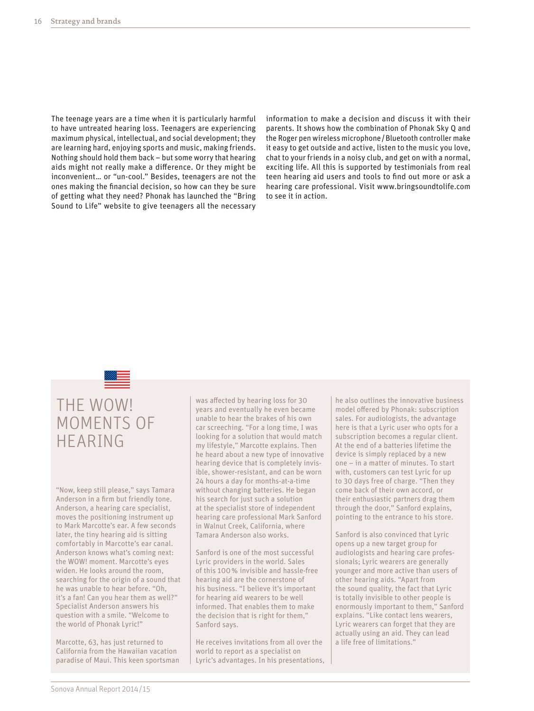The teenage years are a time when it is particularly harmful to have untreated hearing loss. Teenagers are experiencing maximum physical, intellectual, and social development; they are learning hard, enjoying sports and music, making friends. Nothing should hold them back – but some worry that hearing aids might not really make a difference. Or they might be inconvenient… or "un-cool." Besides, teenagers are not the ones making the financial decision, so how can they be sure of getting what they need? Phonak has launched the "Bring Sound to Life" website to give teenagers all the necessary

information to make a decision and discuss it with their parents. It shows how the combination of Phonak Sky Q and the Roger pen wireless microphone/Bluetooth controller make it easy to get outside and active, listen to the music you love, chat to your friends in a noisy club, and get on with a normal, exciting life. All this is supported by testimonials from real teen hearing aid users and tools to find out more or ask a hearing care professional. Visit [www.bringsoundtolife.com](http://www.bringsoundtolife.com)  to see it in action.

## THE WOW! MOMENTS OF HEARING

"Now, keep still please," says Tamara Anderson in a firm but friendly tone. Anderson, a hearing care specialist, moves the positioning instrument up to Mark Marcotte's ear. A few seconds later, the tiny hearing aid is sitting comfortably in Marcotte's ear canal. Anderson knows what's coming next: the WOW! moment. Marcotte's eyes widen. He looks around the room, searching for the origin of a sound that he was unable to hear before. "Oh, it's a fan! Can you hear them as well?" Specialist Anderson answers his question with a smile. "Welcome to the world of Phonak Lyric!"

Marcotte, 63, has just returned to California from the Hawaiian vacation paradise of Maui. This keen sportsman was affected by hearing loss for 30 years and eventually he even became unable to hear the brakes of his own car screeching. "For a long time, I was looking for a solution that would match my lifestyle," Marcotte explains. Then he heard about a new type of innovative hearing device that is completely invisible, shower-resistant, and can be worn 24 hours a day for months-at-a-time without changing batteries. He began his search for just such a solution at the specialist store of independent hearing care professional Mark Sanford in Walnut Creek, California, where Tamara Anderson also works.

Sanford is one of the most successful Lyric providers in the world. Sales of this 100% invisible and hassle-free hearing aid are the cornerstone of his business. "I believe it's important for hearing aid wearers to be well informed. That enables them to make the decision that is right for them," Sanford says.

He receives invitations from all over the world to report as a specialist on Lyric's advantages. In his presentations,

he also outlines the innovative business model offered by Phonak: subscription sales. For audiologists, the advantage here is that a Lyric user who opts for a subscription becomes a regular client. At the end of a batteries lifetime the device is simply replaced by a new one – in a matter of minutes. To start with, customers can test Lyric for up to 30 days free of charge. "Then they come back of their own accord, or their enthusiastic partners drag them through the door," Sanford explains, pointing to the entrance to his store.

Sanford is also convinced that Lyric opens up a new target group for audiologists and hearing care professionals; Lyric wearers are generally younger and more active than users of other hearing aids. "Apart from the sound quality, the fact that Lyric is totally invisible to other people is enormously important to them," Sanford explains. "Like contact lens wearers, Lyric wearers can forget that they are actually using an aid. They can lead a life free of limitations."